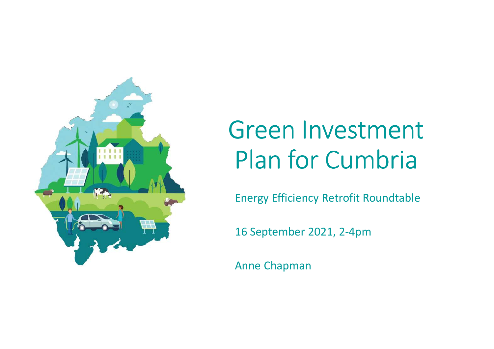

# Green Investment Plan for Cumbria

Energy Efficiency Retrofit Roundtable

16 September 2021, 2-4pm

Anne Chapman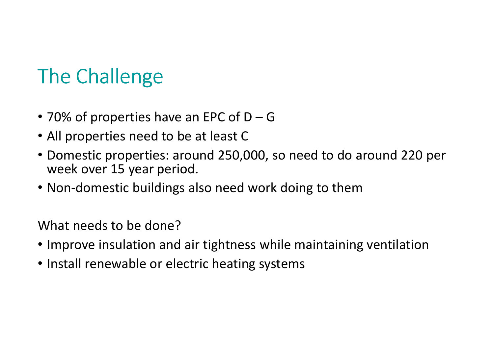## The Challenge

- 70% of properties have an EPC of D <sup>G</sup>
- All properties need to be at least C
- Domestic properties: around 250,000, so need to do around 220 per week over 15 year period.
- Non-domestic buildings also need work doing to them

What needs to be done?

- Improve insulation and air tightness while maintaining ventilation
- Install renewable or electric heating systems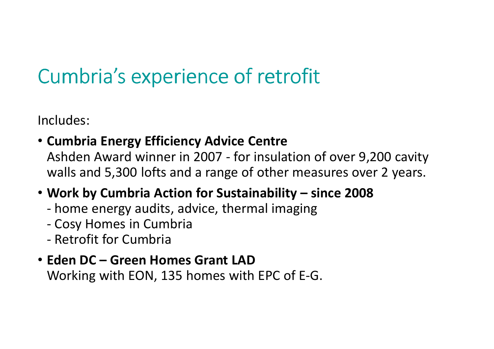## Cumbria's experience of retrofit

Includes:

• **Cumbria Energy Efficiency Advice Centre**  Ashden Award winner in 2007 - for insulation of over 9,200 cavity walls and 5,300 lofts and a range of other measures over 2 years.

### • **Work by Cumbria Action for Sustainability – since 2008**

- home energy audits, advice, thermal imaging
- Cosy Homes in Cumbria
- -Retrofit for Cumbria

#### • **Eden DC – Green Homes Grant LAD**Working with EON, 135 homes with EPC of E-G.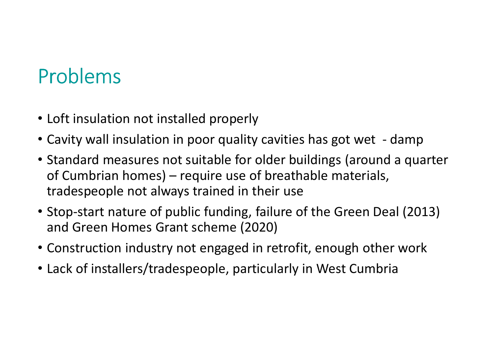### Problems

- Loft insulation not installed properly
- Cavity wall insulation in poor quality cavities has got wet damp
- Standard measures not suitable for older buildings (around a quarter of Cumbrian homes) – require use of breathable materials, tradespeople not always trained in their use
- Stop-start nature of public funding, failure of the Green Deal (2013) and Green Homes Grant scheme (2020)
- Construction industry not engaged in retrofit, enough other work
- Lack of installers/tradespeople, particularly in West Cumbria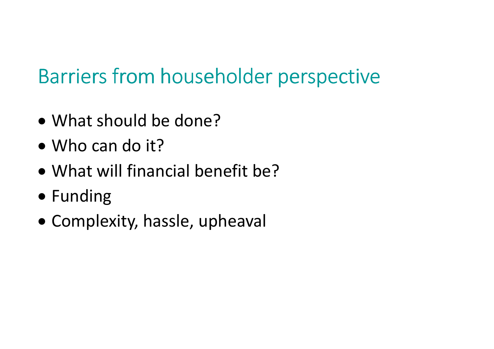### Barriers from householder perspective

- What should be done?
- Who can do it?
- What will financial benefit be?
- Funding
- Complexity, hassle, upheaval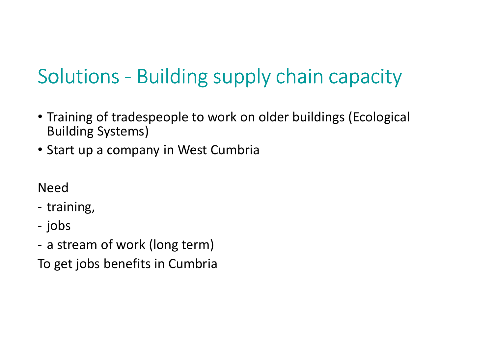# Solutions - Building supply chain capacity

- Training of tradespeople to work on older buildings (Ecological Building Systems)
- Start up a company in West Cumbria

Need

training,

jobs

a stream of work (long term)

To get jobs benefits in Cumbria